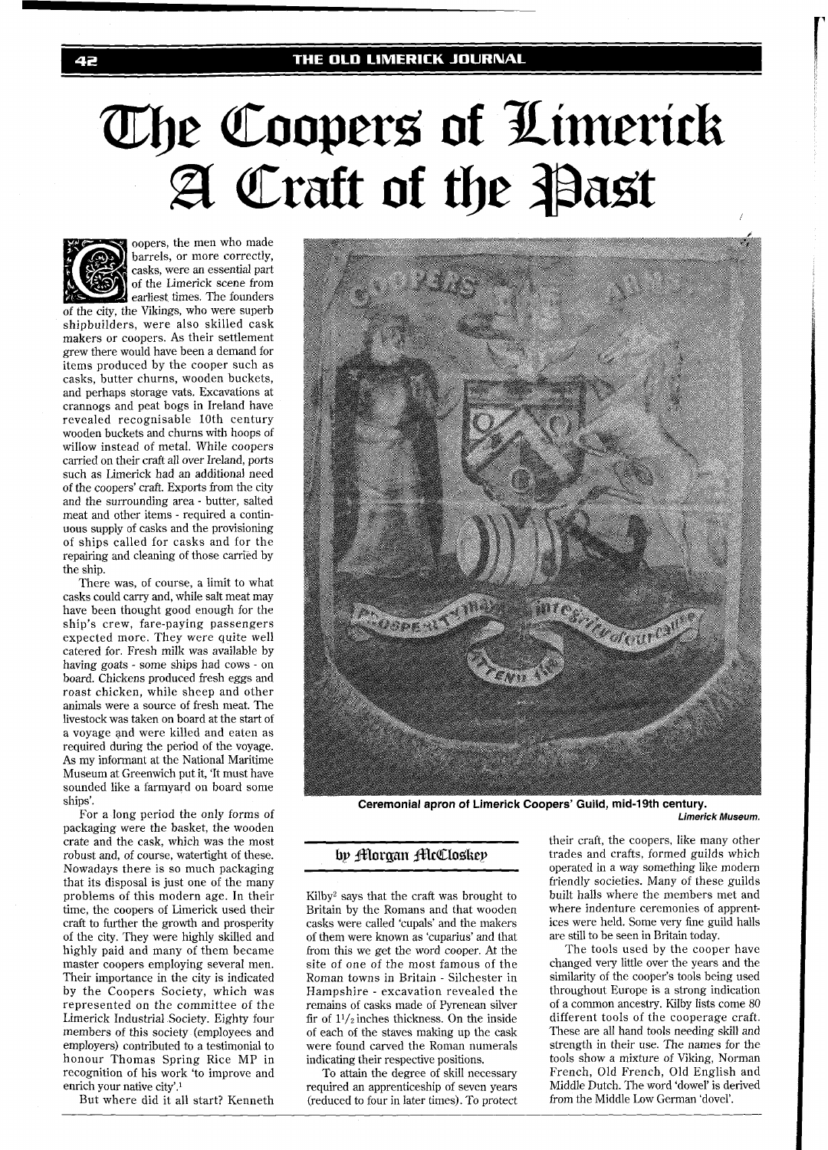# The Coopers of Limerick A Craft of the Past



oopers, the men who made barrels, or more correctly, casks, were an essential part of the Limerick scene from earliest times. The founders of the city, the Vikings, who were superb

shipbuilders, were also skilled cask makers or coopers. As their settlement grew there would have been a demand for items produced by the cooper such as casks, butter churns, wooden buckets, and perhaps storage vats. Excavations at crannogs and peat bogs in Ireland have revealed recognisable 10th century wooden buckets and churns with hoops of willow instead of metal. While coopers carried on their craft all over Ireland, ports such as Limerick had an additional need of the coopers' craft. Exports from the city and the surrounding area - butter, salted meat and other items - required a continuous supply of casks and the provisioning of ships called for casks and for the repairing and cleaning of those carried by the ship.

There was, of course, a limit to what casks could carry and, while salt meat may have been thought good enough for the ship's crew, fare-paying passengers expected more. They were quite well catered for. Fresh milk was available by having goats - some ships had cows - on board. Chickens produced fresh eggs and roast chicken, while sheep and other animals were a source of fresh meat. The livestock was taken on board at the start of a voyage and were killed and eaten as required during the period of the voyage. As my informant at the National Maritime Museum at Greenwich put it, 'It must have sounded like a farmyard on board some ships'.

For a long period the only forms of packaging were the basket, the wooden crate and the cask, which was the most robust and, of course, watertight of these. Nowadays there is so much packaging that its disposal is just one of the many problems of this modern age. In their time, the coopers of Limerick used their craft to further the growth and prosperity of the city. They were highly skilled and highly paid and many of them became master coopers employing several men. Their importance in the city is indicated by the Coopers Society, which was represented on the committee of the Limerick Industrial Society. Eighty four members of this society (employees and employers) contributed to a testimonial to honour Thomas Spring Rice MP in recognition of his work 'to improve and enrich your native city'.'

But where did it all start? Kenneth



**Ceremonial apron of Limerick Coopers' Guild, mid-19th century.** 

**Limerick Museum.** 

Britain by the Romans and that wooden where indenture ceremonies of apprent-<br>casks were called 'cupals' and the makers ices were held. Some very fine guild halls casks were called 'cupals' and the makers ices were held. Some very fine gun of them were known as 'cuparius' and that are still to be seen in Britain today. of them were known as 'cuparius' and that are still to be seen in Britain today.<br>
from this we get the word cooper. At the The tools used by the cooper have from this we get the word cooper. At the site of one of the most famous of the Roman towns in Britain - Silchester in similarity of the cooper's tools being used<br>Hampshire - excavation revealed the throughout Europe is a strong indication Hampshire - excavation revealed the throughout Europe is a strong indication remains of casks made of Pyrenean silver of a common ancestry. Kilby lists come 80 remains of casks made of Pyrenean silver of a common ancestry. Kilby lists come 80 fir of  $11/\pi$  inches thickness. On the inside different tools of the cooperage craft. fir of  $1\frac{1}{2}$  inches thickness. On the inside different tools of the cooperage craft.<br>
of each of the staves making up the cask These are all hand tools needing skill and of each of the staves making up the cask These are all hand tools needing skill and were found carved the Roman numerals strength in their use. The names for the were found carved the Roman numerals indicating their respective positions.

required an apprenticeship of seven years Middle Dutch. The word 'dowel' is de-<br>(reduced to four in later times). To protect from the Middle Low German 'dovel'. (reduced to four in later times). To protect

their craft, the coopers, like many other **bp florman flicCloskep** trades and crafts, formed guilds which operated in a way something like modern friendly societies. Many of these guilds<br>built halls where the members met and Kilby<sup>2</sup> says that the craft was brought to built halls where the members met and Britain by the Romans and that wooden where indenture ceremonies of apprent-

changed very little over the years and the<br>similarity of the cooper's tools being used tools show a mixture of Viking, Norman To attain the degree of skill necessary French, Old French, Old English and To attain the degree of skill necessary French, Old French, Old English and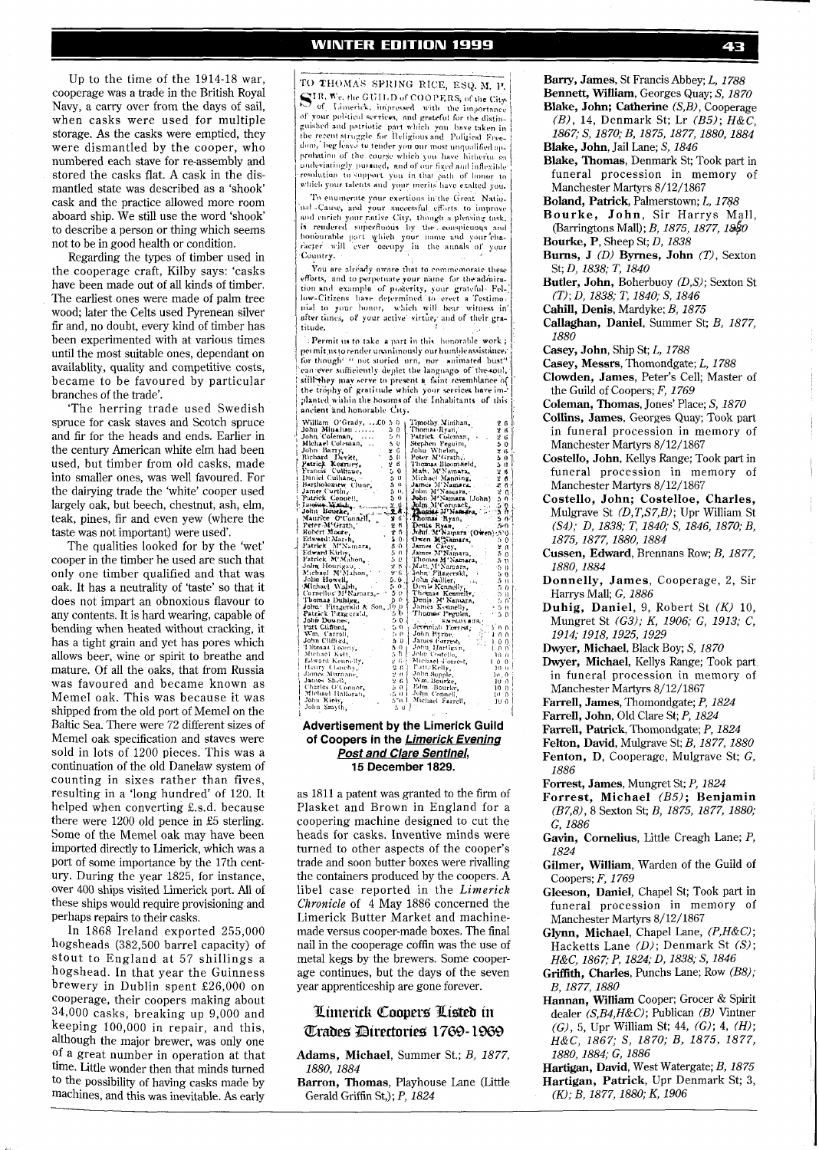Up to the time of the 1914-18 war, cooperage was a trade in the British Royal Navy, a carry over from the days of sail, when casks were used for multiple storage. As the casks were emptied, they were dismantled by the cooper, who numbered each stave for re-assembly and stored the casks flat. A cask in the dismantled state was described as a 'shook' cask and the practice allowed more room aboard ship. We still use the word 'shook' to describe a person or thing which seems not to be in good health or condition.

Regarding the types of timber used in the cooperage craft, Kilby says: 'casks have been made out of all kinds of timber. The earliest ones were made of palm tree wood; later the Celts used Pyrenean silver fir and, no doubt, every kind of timber has been experimented with at various times until the most suitable ones, dependant on availablity, quality and competitive costs, became to be favoured by particular branches of the trade'.

'The herring trade used Swedish spruce for cask staves and Scotch spruce and fir for the heads and ends. Earlier in the century American white elm had been used, but timber from old casks, made into smaller ones, was well favoured. For the dairying trade the 'white' cooper used largely oak, but beech, chestnut, ash, elm, teak, pines, fir and even yew (where the taste was not important) were used'.

The qualities looked for by the 'wet' cooper in the timber he used are such that only one timber qualified and that was oak. It has a neutrality of 'taste' so that it does not impart an obnoxious flavour to any contents. It is hard wearing, capable of bending when heated without cracking, it has a tight grain and yet has pores which allows beer, wine or spirit to breathe and mature. Of all the oaks, that from Russia was favoured and became known as Memel oak. This was because it was shipped from the old port of Memel on the Baltic Sea. There were 72 different sizes of Memel oak specification and staves were sold in lots of 1200 pieces. This was a continuation of the old Danelaw system of counting in sixes rather than fives, resulting in a 'long hundred' of 120. It helped when converting £.s.d. because there were 1200 old pence in £5 sterling. Some of the Memel oak may have been imported directly to Limerick, which was a port of some importance by the 17th century. During the year 1825, for instance, over 400 ships visited Limerick port. All of these ships would require provisioning and perhaps repairs to their casks.

In 1868 Ireland exported 255,000 hogsheads (382,500 barrel capacity) of stout to England at 57 shillings a hogshead. In that year the Guinness brewery in Dublin spent £26,000 on cooperage, their coopers making about 34,000 casks, breaking up 9,000 and keeping 100,000 in repair, and this, although the major brewer, was only one of a great number in operation at that time. Little wonder then that minds turned to the possibility of having casks made by machines, and this was inevitable. As early

TO THOMAS SPRING RICE, ESQ. M. P. SIR, We, the GUILD of COOPERS, of the City <sup>243</sup> of the COULD of COOPERS, of the City,<br>of Unit in the importance<br>of your political services, and grateful for the distinguished and patriotic part which you have taken in<br>guished and patriotic part which you have take beg leave to tender you our most unqualified approbation of the course which you have hitherto so resolution to support you in that puth of honor to<br>which your talents and your merits have exalted you.

To enumerate your exertions in the Great Natio. nal Cause, and your successful efforts to improve nat cause, and your successful efforts to improve<br>and enrich your rative City, though a pleasing task,<br>is rendered superfluous by the conspicuous and homourable part which your name and your cha-Country.

You are already aware that to commemorate these Fou are already aware that to commemorate these<br>efforts, and to perpetuate your name for the admira-<br>tion and example of posterity, your grateful-Fel-<br>low-Citizens have determined to erect a Testimo-<br>mial to your honor, wh after times, of your active virtue, and of their gratitude.

Permit us to take a part in this honorable work; pet mit us to render unanimously our humble assistance for though<sup>t a</sup> not storied urn, nor animated bust' can ever sufficiently deplet the language of the coul,<br>still they may serve to present a faint resemblance of the trophy of gratitude which your services have implanted within the bosoms of the Inhabitants of this ancient and honorable City.

| William O'Grady,  £0.5.0                                                                            | Timothy Minihan,<br>261                                                                                                                                                                                                                                                                                                                                                                          |
|-----------------------------------------------------------------------------------------------------|--------------------------------------------------------------------------------------------------------------------------------------------------------------------------------------------------------------------------------------------------------------------------------------------------------------------------------------------------------------------------------------------------|
| John Minahan<br>50                                                                                  | Thomas Ryan<br>2 B I                                                                                                                                                                                                                                                                                                                                                                             |
| John Coleman.<br>5.0                                                                                | Patrick Coleman, .<br>26                                                                                                                                                                                                                                                                                                                                                                         |
| Michael Coleman,<br>50                                                                              | Stephen Peguini,<br>50 <sub>0</sub>                                                                                                                                                                                                                                                                                                                                                              |
| x G<br>John Barry,                                                                                  | John Whelan,<br>26                                                                                                                                                                                                                                                                                                                                                                               |
| 50<br>Richard Devitt,                                                                               | Peter M'Grath,<br>50                                                                                                                                                                                                                                                                                                                                                                             |
| Patrick Kearney,<br>26                                                                              | Thomas Bloomsield,<br>5 O İ                                                                                                                                                                                                                                                                                                                                                                      |
| Francis Cultiane,                                                                                   | 50   Mah. M'Namara,<br>2 B                                                                                                                                                                                                                                                                                                                                                                       |
| Daniel Culhane, -<br>50 I                                                                           | Michael Manning,<br>2 <sub>6</sub>                                                                                                                                                                                                                                                                                                                                                               |
| $5 - \theta$<br>Bartholomew Clune,                                                                  | James M'Namara.<br><b>보 6</b> 년                                                                                                                                                                                                                                                                                                                                                                  |
| 5 O.<br>James Curtin                                                                                | John M'Namara,<br>2 <sub>0</sub>                                                                                                                                                                                                                                                                                                                                                                 |
| 5. 6.<br>Patrick Conoell,                                                                           | Jobn M'Namara (John)<br>50                                                                                                                                                                                                                                                                                                                                                                       |
|                                                                                                     | 50                                                                                                                                                                                                                                                                                                                                                                                               |
|                                                                                                     | Jolm M'Corinack<br>Basisé M'Naméra,<br>n fr                                                                                                                                                                                                                                                                                                                                                      |
| John Bourke, Maurice O'Connell, 26                                                                  | Thomas Ryan,<br>5 0 1                                                                                                                                                                                                                                                                                                                                                                            |
| Peter M'Grath, Robert Moore,<br>26                                                                  | Denis Ryan,<br>$5-0$                                                                                                                                                                                                                                                                                                                                                                             |
| 2.6                                                                                                 | John M'Namara (Owen) 5'0.                                                                                                                                                                                                                                                                                                                                                                        |
| s o-                                                                                                | Owen M'Namara,<br>50                                                                                                                                                                                                                                                                                                                                                                             |
| Patrick M'Namara,<br>5.0                                                                            | James Cascy,<br>2 G                                                                                                                                                                                                                                                                                                                                                                              |
| Edward Kirby.<br>50                                                                                 | James M'Namara,<br>50                                                                                                                                                                                                                                                                                                                                                                            |
| Patrick M'Mahon.<br>5 D                                                                             | Thomas M'Namara,<br>5 n                                                                                                                                                                                                                                                                                                                                                                          |
| John Hourigau,<br>2 8 J                                                                             | Matt, M'Namars,<br>50                                                                                                                                                                                                                                                                                                                                                                            |
| Michael M'Mahon,<br>216.                                                                            | - John Filagerski<br>50                                                                                                                                                                                                                                                                                                                                                                          |
| John Howell,<br>5.0.                                                                                | John Sadlier,<br>$5-0$                                                                                                                                                                                                                                                                                                                                                                           |
| Jonn Howell,<br>Michael Walsh,<br>50                                                                | 5. 0. John Sadlier, Jacques (S. 1986)<br>5. 0. Den le Kennelly, Jacques (S. 1986)<br>5. 0. Literature Kennelly, Jacques<br>50                                                                                                                                                                                                                                                                    |
| Cornellus M'Namara -                                                                                | $-5.0$                                                                                                                                                                                                                                                                                                                                                                                           |
| Thomas Duhiga, 6 6 Denis M' Namara, John Fitzgersld & Son, 10 0   Denis Kennelly,<br>Thomas Duhigg, | 56                                                                                                                                                                                                                                                                                                                                                                                               |
|                                                                                                     | $+5h$                                                                                                                                                                                                                                                                                                                                                                                            |
| 5 b L<br>Patrick Fitzgerald,                                                                        | Thomas Peguim,<br>z.<br>5 0                                                                                                                                                                                                                                                                                                                                                                      |
| 501<br>John Downes                                                                                  | TELL PL RMPLOYMOR,                                                                                                                                                                                                                                                                                                                                                                               |
| 50<br>Patt Chifford                                                                                 | Jeveniah Forrest,<br>T 0 D                                                                                                                                                                                                                                                                                                                                                                       |
| 5.0<br>Wm. Carroli,                                                                                 | John Byrne,<br>100                                                                                                                                                                                                                                                                                                                                                                               |
| 20<br>John Clifford,                                                                                | 100                                                                                                                                                                                                                                                                                                                                                                                              |
| Thomas Toomy<br>501                                                                                 | John Hartigan,                                                                                                                                                                                                                                                                                                                                                                                   |
| Michael Kett.                                                                                       |                                                                                                                                                                                                                                                                                                                                                                                                  |
| Edward Kennelly,                                                                                    |                                                                                                                                                                                                                                                                                                                                                                                                  |
| Henry Clauchy,"                                                                                     |                                                                                                                                                                                                                                                                                                                                                                                                  |
| James Murnane,                                                                                      | $\begin{array}{ll} 5.6 \pm 10 \, \text{fm} & \text{Cort} \cdot \text{cm} \\ 2.6 \pm 1.0 \, \text{Micback-Forrest} & 1.0 \, \text{m} \\ 2.6 \pm 1.0 \, \text{Micback-Forrest} & 1.0 \, \text{m} \\ 2.6 \pm 1.0 \, \text{Mup} \cdot \text{cm} \\ 2.7 \pm 1.0 \, \text{Mup} \cdot \text{cm} \\ 2.6 \pm 1.0 \, \text{Mup} \cdot \text{cm} \\ 2.6 \pm 1.0 \, \text{Mup} \cdot \text{cm} \\ 2.6 \pm 1$ |
| James Shell,                                                                                        |                                                                                                                                                                                                                                                                                                                                                                                                  |
| Charles O'Connor,                                                                                   |                                                                                                                                                                                                                                                                                                                                                                                                  |
| Michael Halloran,                                                                                   | Sui John Connell,<br>10 0                                                                                                                                                                                                                                                                                                                                                                        |
| John Kiely,<br>570 I                                                                                | Michael Farrell,<br>100                                                                                                                                                                                                                                                                                                                                                                          |
| John Smyth.<br>5.0                                                                                  |                                                                                                                                                                                                                                                                                                                                                                                                  |

## **Advertisement by the Limerick Guild of Coopers in the Limerick Eveninq Post and Clare Sentinel, 15 December 1829.**

as 1811 a patent was granted to the firm of Plasket and Brown in England for a coopering machine designed to cut the heads for casks. Inventive minds were turned to other aspects of the cooper's trade and soon butter boxes were rivalling the containers produced by the coopers. A libel case reported in the Limerick Chronicle of 4 May 1886 concerned the Limerick Butter Market and machinemade versus cooper-made boxes. The final nail in the cooperage coffin was the use of metal kegs by the brewers. Some cooperage continues, but the days of the seven year apprenticeship are gone forever.

# Limerick Coopers Listed in **Trades Directories 1769-1969**

**Adams, Michael,** Summer St.; B, 1877, 1880,1884

**Barron, Thomas,** Playhouse Lane (Little Gerald Griffin St,); P, 1824

**Bany, James,** St Francis Abbey; L, 1788 **Bennett, William,** Georges Quay; S, 1870 **Blake, John; Catherine** (S,B), Cooperage (B), 14, Denmark St; Lr  $(B5)$ ;  $H&C$ ,

- 1867; S, 1870; B, 1875,1877,1880, 1884 **Blake, John,** Jail Lane; S, 1846
- **Blake, Thomas,** Denmark St; Took part in funeral procession in memory of Manchester Martyrs 8/12/1867
- **Boland, Patrick,** Palmerstown; **L,** 1788
- **Bourke, John,** Sir Harrys Mall, (Barringtons Mall); B, 1875, 1877, 1880 **Bourke, P,** Sheep St; D, 1838
- **Burns, J** (D) **Byrnes, John** (T), Sexton
- St; D, 1838; T, 1840 **Butler, John,** Boherbuoy (D,S); Sexton St *(T)* ; D, 1838; T, 1840; S, 1846
- **Cahill, Denis,** Mardyke; B, 1875
- **Callaghan, Daniel,** Summer St; B, 1877, 1880
- **Casey, John,** Ship St; **L,** 1788
- **Casey, Messrs,** Thomondgate; **L,** 1788
- **Clowden, James,** Peter's Cell; Master of the Guild of Coopers; F, 1769
- **Coleman, Thomas,** Jones' Place; **S,** 1870
- **Collins, James,** Georges Quay; Took part in funeral procession in memory of Manchester Martyrs 8/12/1867
- **Costello, John,** Kellys Range; Took part in funeral procession in memory of Manchester Martyrs 8/12/1867
- **Costello, John; Costelloe, Charles,**  Mulgrave St (D,T,S7,B); Upr William St (S4); D, 1838; T, 1840; S, 1846, 1870; B, 1875, 1877, 1880,1884
- **Cussen, Edward,** Brennans Row; B, 1877, 1880,1884
- **Donnelly, James,** Cooperage, 2, Sir Harrys Mall; G, 1886
- **Duhig, Daniel, 9,** Robert St *(K)* 10, Mungret St (G3); K, 1906; G, 1913; C, 1914; 1918,1925,1929
- **Dwyer, Michael,** Black Boy; S, 1870
- **Dwyer, Michael,** Kellys Range; Took part in funeral procession in memory of Manchester Martyrs 8/12/1867
- **Farrell, James,** Thomondgate; **P,** 1824
- **Farrell, John,** Old Clare St; P, 1824
- **Farrell, Patrick,** Thomondgate; **P,** 1824
- **Felton, David,** Mulgrave St; **B,** 1877, 1880 **Fenton,** D, Cooperage, Mulgrave St; G, 1886
- **Forrest, James,** Mungret St; **P,** 1824
- **Forrest, Michael** (B5); **Benjamin**  (B7,8), 8 Sexton St; B, 1875, 1877, 1880; G, 1886
- **Gavin, Cornelius,** Little Creagh Lane; P,  $1824$
- **Gilmer, William,** Warden of the Guild of Coopers; F, 1769
- **Gleeson, Daniel,** Chapel St; Took part in funeral procession in memory of Manchester Martyrs 8/12/1867
- **Glynn, Michael,** Chapel Lane, (P,H&c); Hacketts Lane (D); Denmark St (S); H&C, 1867; P, 1824; D, 1838; S, 1846
- **Griffith, Charles,** Punchs Lane; Row (B8); B, 1877,1880
- **Hannan, William** Cooper; Grocer & Spirit dealer  $(S, B4, H&C)$ ; Publican (B) Vintner (G), 5, Upr William St; 44, (G); **4,** *(H);*  H&C, 1867; S, 1870; *B,* 1875, 1877, 1880,1884; G, 1886

**Hartigan, David,** West Watergate; B, 1875 <sup>~</sup> **Hartigan, Patrick,** Upr Denmark St; 3, (K); B, 1877, 1880; K, 1906